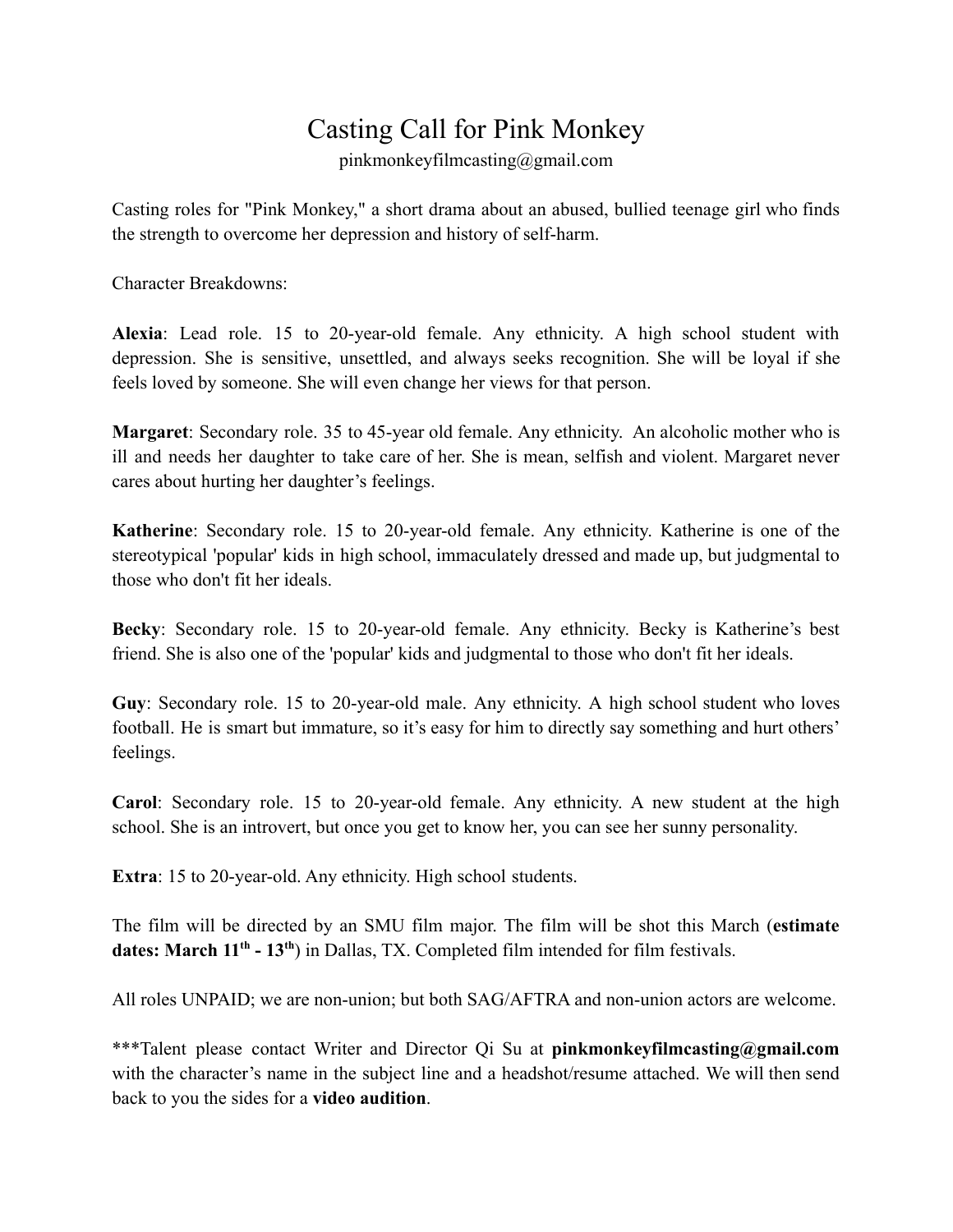## Casting Call for Pink Monkey

pinkmonkeyfilmcasting@gmail.com

Casting roles for "Pink Monkey," a short drama about an abused, bullied teenage girl who finds the strength to overcome her depression and history of self-harm.

Character Breakdowns:

**Alexia**: Lead role. 15 to 20-year-old female. Any ethnicity. A high school student with depression. She is sensitive, unsettled, and always seeks recognition. She will be loyal if she feels loved by someone. She will even change her views for that person.

**Margaret**: Secondary role. 35 to 45-year old female. Any ethnicity. An alcoholic mother who is ill and needs her daughter to take care of her. She is mean, selfish and violent. Margaret never cares about hurting her daughter's feelings.

**Katherine**: Secondary role. 15 to 20-year-old female. Any ethnicity. Katherine is one of the stereotypical 'popular' kids in high school, immaculately dressed and made up, but judgmental to those who don't fit her ideals.

**Becky**: Secondary role. 15 to 20-year-old female. Any ethnicity. Becky is Katherine's best friend. She is also one of the 'popular' kids and judgmental to those who don't fit her ideals.

**Guy**: Secondary role. 15 to 20-year-old male. Any ethnicity. A high school student who loves football. He is smart but immature, so it's easy for him to directly say something and hurt others' feelings.

**Carol**: Secondary role. 15 to 20-year-old female. Any ethnicity. A new student at the high school. She is an introvert, but once you get to know her, you can see her sunny personality.

**Extra**: 15 to 20-year-old. Any ethnicity. High school students.

The film will be directed by an SMU film major. The film will be shot this March (**estimate** dates: March 11<sup>th</sup> - 13<sup>th</sup>) in Dallas, TX. Completed film intended for film festivals.

All roles UNPAID; we are non-union; but both SAG/AFTRA and non-union actors are welcome.

\*\*\*Talent please contact Writer and Director Qi Su at **pinkmonkeyfilmcasting@gmail.com** with the character's name in the subject line and a headshot/resume attached. We will then send back to you the sides for a **video audition**.